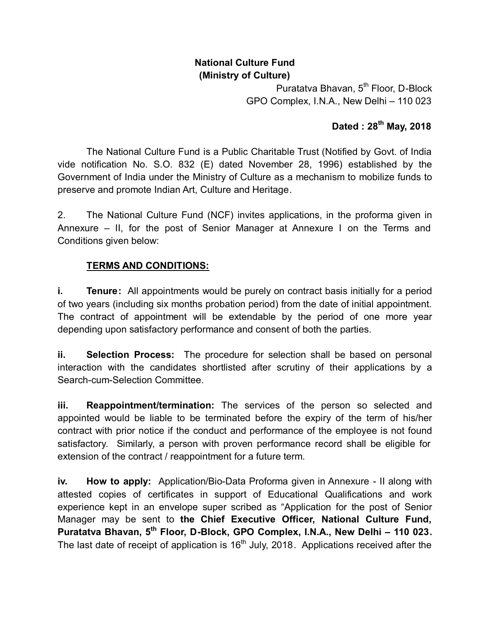# **National Culture Fund (Ministry of Culture)**

Puratatva Bhavan, 5<sup>th</sup> Floor, D-Block GPO Complex, I.N.A., New Delhi – 110 023

# **Dated : 28th May, 2018**

The National Culture Fund is a Public Charitable Trust (Notified by Govt. of India vide notification No. S.O. 832 (E) dated November 28, 1996) established by the Government of India under the Ministry of Culture as a mechanism to mobilize funds to preserve and promote Indian Art, Culture and Heritage.

2. The National Culture Fund (NCF) invites applications, in the proforma given in Annexure – II, for the post of Senior Manager at Annexure I on the Terms and Conditions given below:

## **TERMS AND CONDITIONS:**

**i. Tenure:** All appointments would be purely on contract basis initially for a period of two years (including six months probation period) from the date of initial appointment. The contract of appointment will be extendable by the period of one more year depending upon satisfactory performance and consent of both the parties.

**ii. Selection Process:** The procedure for selection shall be based on personal interaction with the candidates shortlisted after scrutiny of their applications by a Search-cum-Selection Committee.

**iii. Reappointment/termination:** The services of the person so selected and appointed would be liable to be terminated before the expiry of the term of his/her contract with prior notice if the conduct and performance of the employee is not found satisfactory. Similarly, a person with proven performance record shall be eligible for extension of the contract / reappointment for a future term.

**iv. How to apply:** Application/Bio-Data Proforma given in Annexure - II along with attested copies of certificates in support of Educational Qualifications and work experience kept in an envelope super scribed as "Application for the post of Senior Manager may be sent to **the Chief Executive Officer, National Culture Fund, Puratatva Bhavan, 5th Floor, D-Block, GPO Complex, I.N.A., New Delhi – 110 023.** The last date of receipt of application is  $16<sup>th</sup>$  July, 2018. Applications received after the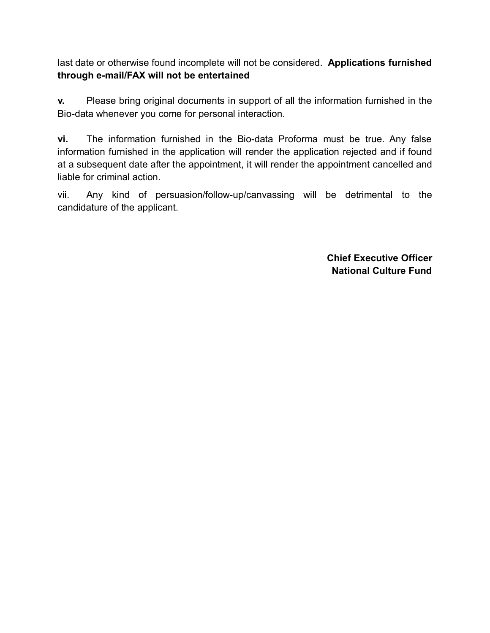last date or otherwise found incomplete will not be considered. **Applications furnished through e-mail/FAX will not be entertained**

**v.** Please bring original documents in support of all the information furnished in the Bio-data whenever you come for personal interaction.

**vi.** The information furnished in the Bio-data Proforma must be true. Any false information furnished in the application will render the application rejected and if found at a subsequent date after the appointment, it will render the appointment cancelled and liable for criminal action.

vii. Any kind of persuasion/follow-up/canvassing will be detrimental to the candidature of the applicant.

> **Chief Executive Officer National Culture Fund**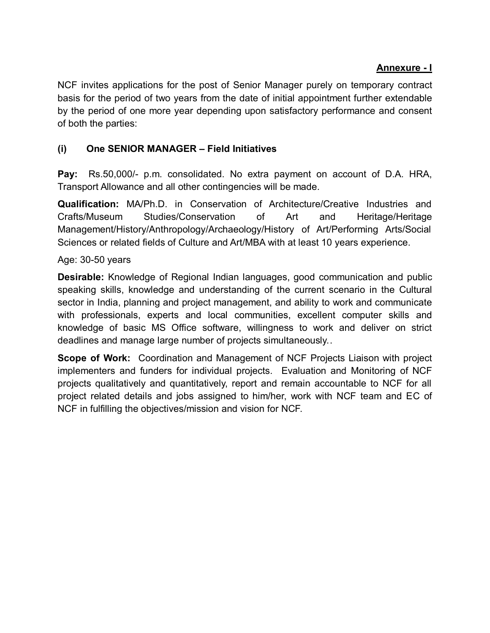## **Annexure - I**

NCF invites applications for the post of Senior Manager purely on temporary contract basis for the period of two years from the date of initial appointment further extendable by the period of one more year depending upon satisfactory performance and consent of both the parties:

## **(i) One SENIOR MANAGER – Field Initiatives**

**Pay:** Rs.50,000/- p.m. consolidated. No extra payment on account of D.A. HRA, Transport Allowance and all other contingencies will be made.

**Qualification:** MA/Ph.D. in Conservation of Architecture/Creative Industries and Crafts/Museum Studies/Conservation of Art and Heritage/Heritage Management/History/Anthropology/Archaeology/History of Art/Performing Arts/Social Sciences or related fields of Culture and Art/MBA with at least 10 years experience.

### Age: 30-50 years

**Desirable:** Knowledge of Regional Indian languages, good communication and public speaking skills, knowledge and understanding of the current scenario in the Cultural sector in India, planning and project management, and ability to work and communicate with professionals, experts and local communities, excellent computer skills and knowledge of basic MS Office software, willingness to work and deliver on strict deadlines and manage large number of projects simultaneously..

**Scope of Work:** Coordination and Management of NCF Projects Liaison with project implementers and funders for individual projects. Evaluation and Monitoring of NCF projects qualitatively and quantitatively, report and remain accountable to NCF for all project related details and jobs assigned to him/her, work with NCF team and EC of NCF in fulfilling the objectives/mission and vision for NCF.